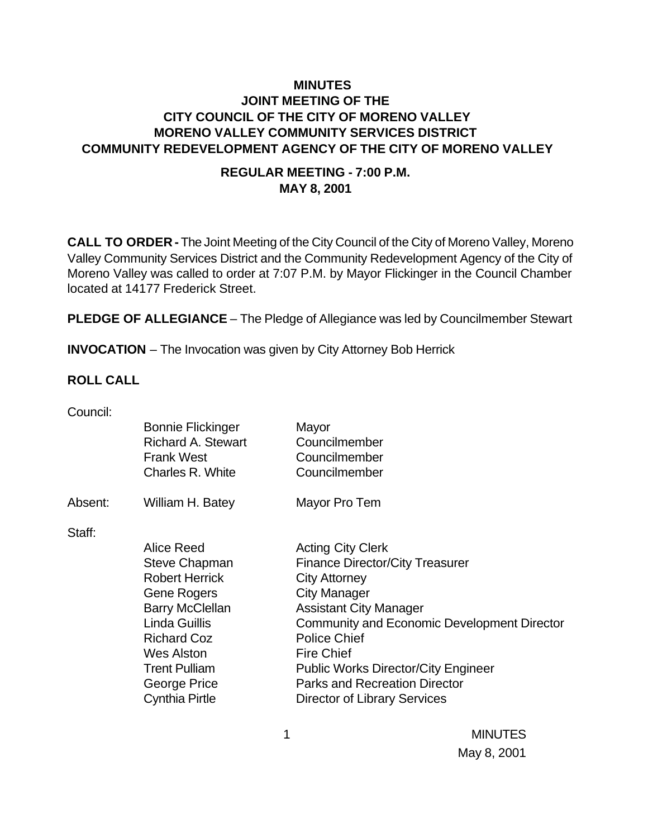## **MINUTES JOINT MEETING OF THE CITY COUNCIL OF THE CITY OF MORENO VALLEY MORENO VALLEY COMMUNITY SERVICES DISTRICT COMMUNITY REDEVELOPMENT AGENCY OF THE CITY OF MORENO VALLEY**

#### **REGULAR MEETING - 7:00 P.M. MAY 8, 2001**

**CALL TO ORDER -** The Joint Meeting of the City Council of the City of Moreno Valley, Moreno Valley Community Services District and the Community Redevelopment Agency of the City of Moreno Valley was called to order at 7:07 P.M. by Mayor Flickinger in the Council Chamber located at 14177 Frederick Street.

**PLEDGE OF ALLEGIANCE** - The Pledge of Allegiance was led by Councilmember Stewart

**INVOCATION** – The Invocation was given by City Attorney Bob Herrick

#### **ROLL CALL**

| Council: |                           |                                                    |
|----------|---------------------------|----------------------------------------------------|
|          | <b>Bonnie Flickinger</b>  | Mayor                                              |
|          | <b>Richard A. Stewart</b> | Councilmember                                      |
|          | <b>Frank West</b>         | Councilmember                                      |
|          | Charles R. White          | Councilmember                                      |
| Absent:  | William H. Batey          | Mayor Pro Tem                                      |
| Staff:   |                           |                                                    |
|          | Alice Reed                | <b>Acting City Clerk</b>                           |
|          | <b>Steve Chapman</b>      | <b>Finance Director/City Treasurer</b>             |
|          | <b>Robert Herrick</b>     | <b>City Attorney</b>                               |
|          | <b>Gene Rogers</b>        | <b>City Manager</b>                                |
|          | <b>Barry McClellan</b>    | <b>Assistant City Manager</b>                      |
|          | <b>Linda Guillis</b>      | <b>Community and Economic Development Director</b> |
|          | <b>Richard Coz</b>        | <b>Police Chief</b>                                |
|          | <b>Wes Alston</b>         | <b>Fire Chief</b>                                  |
|          | <b>Trent Pulliam</b>      | <b>Public Works Director/City Engineer</b>         |
|          | George Price              | <b>Parks and Recreation Director</b>               |
|          | <b>Cynthia Pirtle</b>     | <b>Director of Library Services</b>                |
|          |                           |                                                    |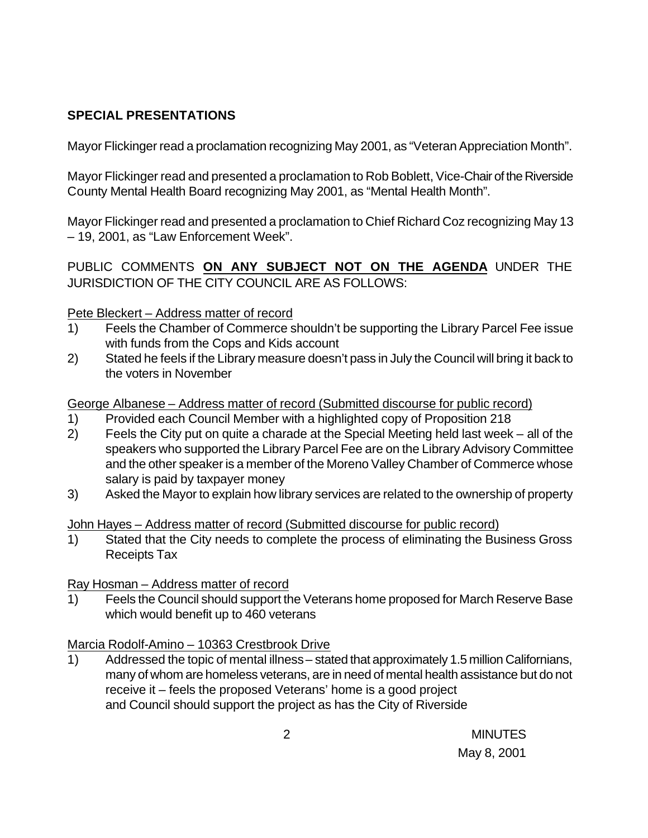# **SPECIAL PRESENTATIONS**

Mayor Flickinger read a proclamation recognizing May 2001, as "Veteran Appreciation Month".

Mayor Flickinger read and presented a proclamation to Rob Boblett, Vice-Chair of the Riverside County Mental Health Board recognizing May 2001, as "Mental Health Month".

Mayor Flickinger read and presented a proclamation to Chief Richard Coz recognizing May 13 – 19, 2001, as "Law Enforcement Week".

PUBLIC COMMENTS **ON ANY SUBJECT NOT ON THE AGENDA** UNDER THE JURISDICTION OF THE CITY COUNCIL ARE AS FOLLOWS:

### Pete Bleckert – Address matter of record

- 1) Feels the Chamber of Commerce shouldn't be supporting the Library Parcel Fee issue with funds from the Cops and Kids account
- 2) Stated he feels if the Library measure doesn't pass in July the Council will bring it back to the voters in November

George Albanese – Address matter of record (Submitted discourse for public record)

- 1) Provided each Council Member with a highlighted copy of Proposition 218
- 2) Feels the City put on quite a charade at the Special Meeting held last week all of the speakers who supported the Library Parcel Fee are on the Library Advisory Committee and the other speaker is a member of the Moreno Valley Chamber of Commerce whose salary is paid by taxpayer money
- 3) Asked the Mayor to explain how library services are related to the ownership of property

### John Hayes – Address matter of record (Submitted discourse for public record)

1) Stated that the City needs to complete the process of eliminating the Business Gross Receipts Tax

# Ray Hosman – Address matter of record

1) Feels the Council should support the Veterans home proposed for March Reserve Base which would benefit up to 460 veterans

# Marcia Rodolf-Amino – 10363 Crestbrook Drive

1) Addressed the topic of mental illness – stated that approximately 1.5 million Californians, many of whom are homeless veterans, are in need of mental health assistance but do not receive it – feels the proposed Veterans' home is a good project and Council should support the project as has the City of Riverside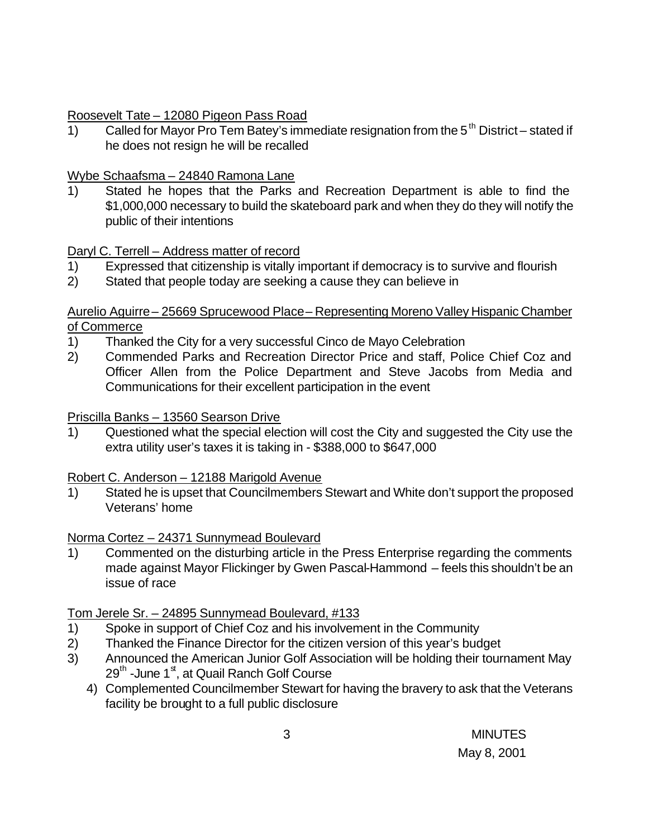### Roosevelt Tate – 12080 Pigeon Pass Road

1) Called for Mayor Pro Tem Batey's immediate resignation from the  $5<sup>th</sup>$  District – stated if he does not resign he will be recalled

### Wybe Schaafsma – 24840 Ramona Lane

1) Stated he hopes that the Parks and Recreation Department is able to find the \$1,000,000 necessary to build the skateboard park and when they do they will notify the public of their intentions

### Daryl C. Terrell – Address matter of record

- 1) Expressed that citizenship is vitally important if democracy is to survive and flourish
- 2) Stated that people today are seeking a cause they can believe in

#### Aurelio Aguirre – 25669 Sprucewood Place – Representing Moreno Valley Hispanic Chamber of Commerce

- 1) Thanked the City for a very successful Cinco de Mayo Celebration
- 2) Commended Parks and Recreation Director Price and staff, Police Chief Coz and Officer Allen from the Police Department and Steve Jacobs from Media and Communications for their excellent participation in the event

#### Priscilla Banks – 13560 Searson Drive

1) Questioned what the special election will cost the City and suggested the City use the extra utility user's taxes it is taking in - \$388,000 to \$647,000

### Robert C. Anderson – 12188 Marigold Avenue

1) Stated he is upset that Councilmembers Stewart and White don't support the proposed Veterans' home

### Norma Cortez – 24371 Sunnymead Boulevard

1) Commented on the disturbing article in the Press Enterprise regarding the comments made against Mayor Flickinger by Gwen Pascal-Hammond – feels this shouldn't be an issue of race

### Tom Jerele Sr. – 24895 Sunnymead Boulevard, #133

- 1) Spoke in support of Chief Coz and his involvement in the Community
- 2) Thanked the Finance Director for the citizen version of this year's budget
- 3) Announced the American Junior Golf Association will be holding their tournament May 29<sup>th</sup> -June 1<sup>st</sup>, at Quail Ranch Golf Course
	- 4) Complemented Councilmember Stewart for having the bravery to ask that the Veterans facility be brought to a full public disclosure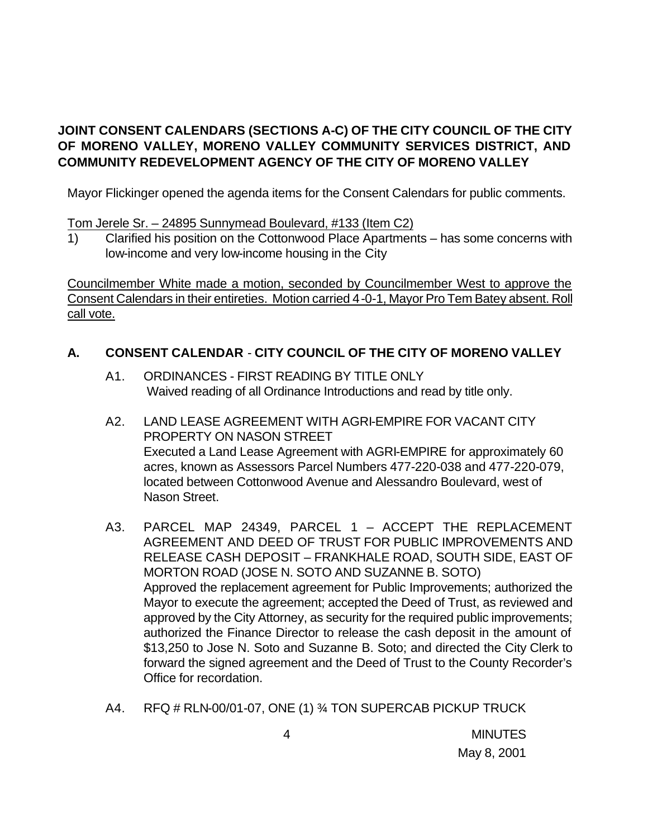# **JOINT CONSENT CALENDARS (SECTIONS A-C) OF THE CITY COUNCIL OF THE CITY OF MORENO VALLEY, MORENO VALLEY COMMUNITY SERVICES DISTRICT, AND COMMUNITY REDEVELOPMENT AGENCY OF THE CITY OF MORENO VALLEY**

Mayor Flickinger opened the agenda items for the Consent Calendars for public comments.

Tom Jerele Sr. – 24895 Sunnymead Boulevard, #133 (Item C2)

1) Clarified his position on the Cottonwood Place Apartments – has some concerns with low-income and very low-income housing in the City

Councilmember White made a motion, seconded by Councilmember West to approve the Consent Calendars in their entireties. Motion carried 4-0-1, Mayor Pro Tem Batey absent. Roll call vote.

## **A. CONSENT CALENDAR** - **CITY COUNCIL OF THE CITY OF MORENO VALLEY**

- A1. ORDINANCES FIRST READING BY TITLE ONLY Waived reading of all Ordinance Introductions and read by title only.
- A2. LAND LEASE AGREEMENT WITH AGRI-EMPIRE FOR VACANT CITY PROPERTY ON NASON STREET Executed a Land Lease Agreement with AGRI-EMPIRE for approximately 60 acres, known as Assessors Parcel Numbers 477-220-038 and 477-220-079, located between Cottonwood Avenue and Alessandro Boulevard, west of Nason Street.
- A3. PARCEL MAP 24349, PARCEL 1 ACCEPT THE REPLACEMENT AGREEMENT AND DEED OF TRUST FOR PUBLIC IMPROVEMENTS AND RELEASE CASH DEPOSIT – FRANKHALE ROAD, SOUTH SIDE, EAST OF MORTON ROAD (JOSE N. SOTO AND SUZANNE B. SOTO) Approved the replacement agreement for Public Improvements; authorized the Mayor to execute the agreement; accepted the Deed of Trust, as reviewed and approved by the City Attorney, as security for the required public improvements; authorized the Finance Director to release the cash deposit in the amount of \$13,250 to Jose N. Soto and Suzanne B. Soto; and directed the City Clerk to forward the signed agreement and the Deed of Trust to the County Recorder's Office for recordation.
- A4. RFQ # RLN-00/01-07, ONE (1) ¾ TON SUPERCAB PICKUP TRUCK

 4 MINUTES May 8, 2001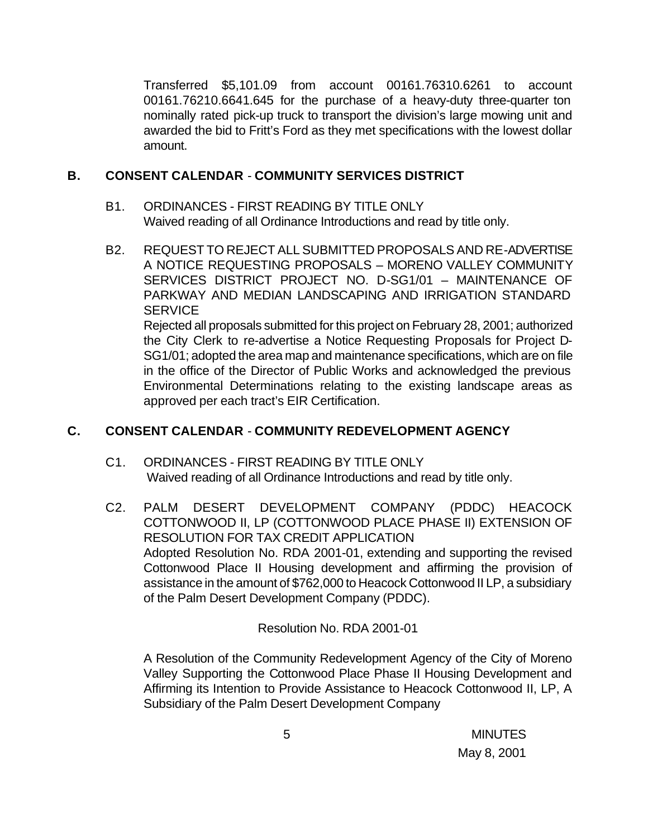Transferred \$5,101.09 from account 00161.76310.6261 to account 00161.76210.6641.645 for the purchase of a heavy-duty three-quarter ton nominally rated pick-up truck to transport the division's large mowing unit and awarded the bid to Fritt's Ford as they met specifications with the lowest dollar amount.

#### **B. CONSENT CALENDAR** - **COMMUNITY SERVICES DISTRICT**

- B1. ORDINANCES FIRST READING BY TITLE ONLY Waived reading of all Ordinance Introductions and read by title only.
- B2. REQUEST TO REJECT ALL SUBMITTED PROPOSALS AND RE-ADVERTISE A NOTICE REQUESTING PROPOSALS – MORENO VALLEY COMMUNITY SERVICES DISTRICT PROJECT NO. D-SG1/01 – MAINTENANCE OF PARKWAY AND MEDIAN LANDSCAPING AND IRRIGATION STANDARD **SERVICE** Rejected all proposals submitted for this project on February 28, 2001; authorized the City Clerk to re-advertise a Notice Requesting Proposals for Project D-SG1/01; adopted the area map and maintenance specifications, which are on file in the office of the Director of Public Works and acknowledged the previous

Environmental Determinations relating to the existing landscape areas as approved per each tract's EIR Certification.

### **C. CONSENT CALENDAR** - **COMMUNITY REDEVELOPMENT AGENCY**

- C1. ORDINANCES FIRST READING BY TITLE ONLY Waived reading of all Ordinance Introductions and read by title only.
- C2. PALM DESERT DEVELOPMENT COMPANY (PDDC) HEACOCK COTTONWOOD II, LP (COTTONWOOD PLACE PHASE II) EXTENSION OF RESOLUTION FOR TAX CREDIT APPLICATION Adopted Resolution No. RDA 2001-01, extending and supporting the revised Cottonwood Place II Housing development and affirming the provision of assistance in the amount of \$762,000 to Heacock Cottonwood II LP, a subsidiary of the Palm Desert Development Company (PDDC).

Resolution No. RDA 2001-01

A Resolution of the Community Redevelopment Agency of the City of Moreno Valley Supporting the Cottonwood Place Phase II Housing Development and Affirming its Intention to Provide Assistance to Heacock Cottonwood II, LP, A Subsidiary of the Palm Desert Development Company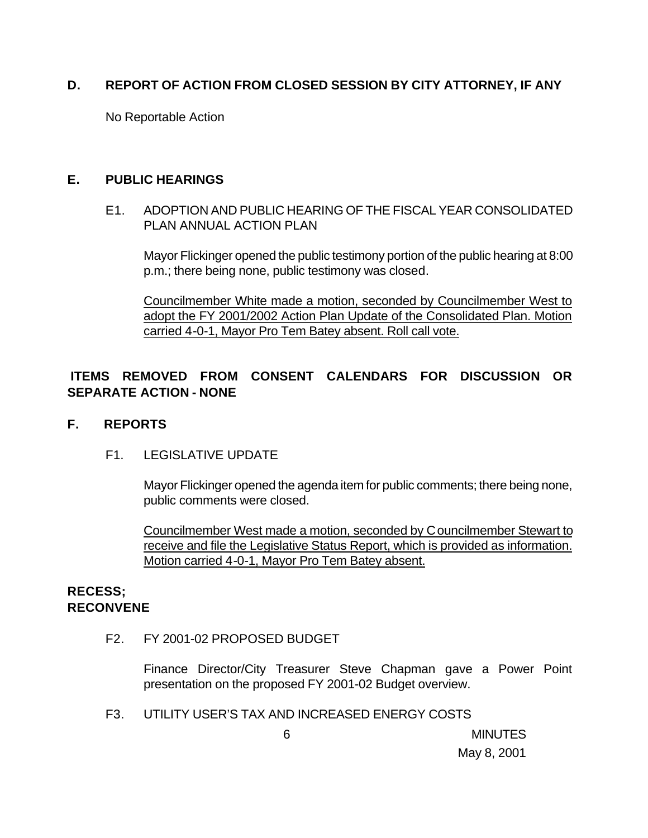### **D. REPORT OF ACTION FROM CLOSED SESSION BY CITY ATTORNEY, IF ANY**

No Reportable Action

#### **E. PUBLIC HEARINGS**

#### E1. ADOPTION AND PUBLIC HEARING OF THE FISCAL YEAR CONSOLIDATED PLAN ANNUAL ACTION PLAN

Mayor Flickinger opened the public testimony portion of the public hearing at 8:00 p.m.; there being none, public testimony was closed.

Councilmember White made a motion, seconded by Councilmember West to adopt the FY 2001/2002 Action Plan Update of the Consolidated Plan. Motion carried 4-0-1, Mayor Pro Tem Batey absent. Roll call vote.

# **ITEMS REMOVED FROM CONSENT CALENDARS FOR DISCUSSION OR SEPARATE ACTION - NONE**

#### **F. REPORTS**

#### F1. LEGISLATIVE UPDATE

Mayor Flickinger opened the agenda item for public comments; there being none, public comments were closed.

Councilmember West made a motion, seconded by Councilmember Stewart to receive and file the Legislative Status Report, which is provided as information. Motion carried 4-0-1, Mayor Pro Tem Batey absent.

#### **RECESS; RECONVENE**

F2. FY 2001-02 PROPOSED BUDGET

Finance Director/City Treasurer Steve Chapman gave a Power Point presentation on the proposed FY 2001-02 Budget overview.

F3. UTILITY USER'S TAX AND INCREASED ENERGY COSTS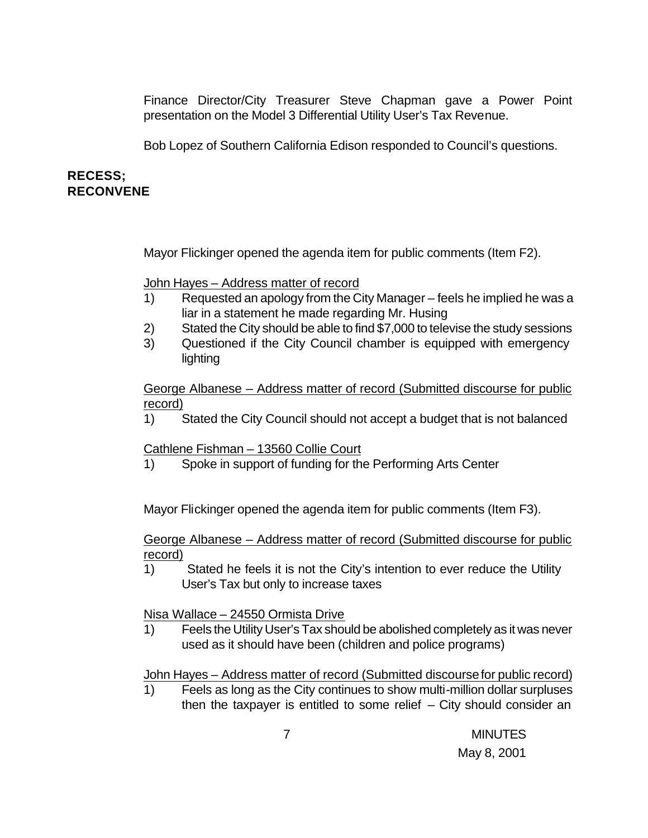Finance Director/City Treasurer Steve Chapman gave a Power Point presentation on the Model 3 Differential Utility User's Tax Revenue.

Bob Lopez of Southern California Edison responded to Council's questions.

### **RECESS; RECONVENE**

Mayor Flickinger opened the agenda item for public comments (Item F2).

John Hayes – Address matter of record

- 1) Requested an apology from the City Manager feels he implied he was a liar in a statement he made regarding Mr. Husing
- 2) Stated the City should be able to find \$7,000 to televise the study sessions
- 3) Questioned if the City Council chamber is equipped with emergency lighting

George Albanese – Address matter of record (Submitted discourse for public record)

1) Stated the City Council should not accept a budget that is not balanced

Cathlene Fishman – 13560 Collie Court

1) Spoke in support of funding for the Performing Arts Center

Mayor Flickinger opened the agenda item for public comments (Item F3).

George Albanese – Address matter of record (Submitted discourse for public record)

1) Stated he feels it is not the City's intention to ever reduce the Utility User's Tax but only to increase taxes

Nisa Wallace – 24550 Ormista Drive

1) Feels the Utility User's Tax should be abolished completely as it was never used as it should have been (children and police programs)

John Hayes – Address matter of record (Submitted discourse for public record)

1) Feels as long as the City continues to show multi-million dollar surpluses then the taxpayer is entitled to some relief  $-$  City should consider an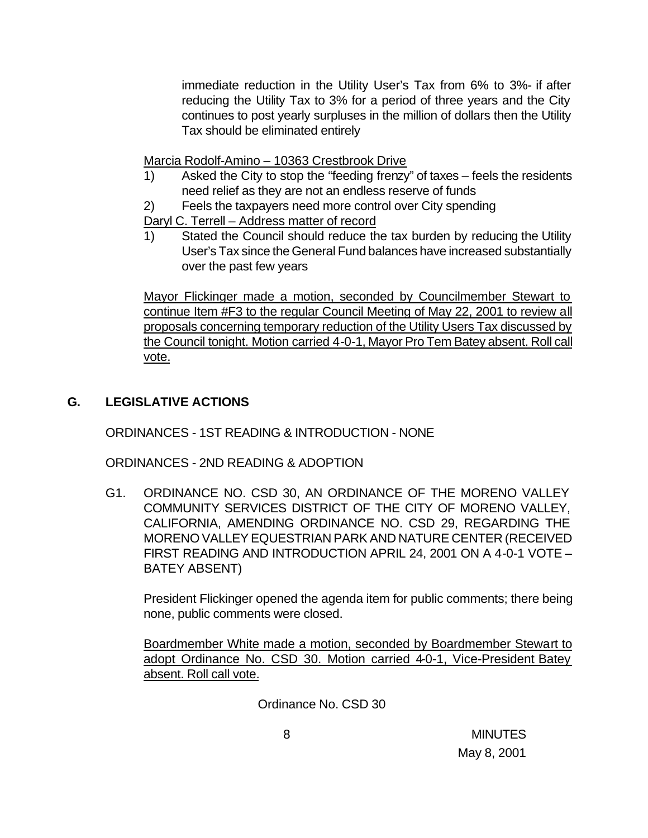immediate reduction in the Utility User's Tax from 6% to 3%- if after reducing the Utility Tax to 3% for a period of three years and the City continues to post yearly surpluses in the million of dollars then the Utility Tax should be eliminated entirely

Marcia Rodolf-Amino – 10363 Crestbrook Drive

- 1) Asked the City to stop the "feeding frenzy" of taxes feels the residents need relief as they are not an endless reserve of funds
- 2) Feels the taxpayers need more control over City spending

Daryl C. Terrell – Address matter of record

1) Stated the Council should reduce the tax burden by reducing the Utility User's Tax since the General Fund balances have increased substantially over the past few years

Mayor Flickinger made a motion, seconded by Councilmember Stewart to continue Item #F3 to the regular Council Meeting of May 22, 2001 to review all proposals concerning temporary reduction of the Utility Users Tax discussed by the Council tonight. Motion carried 4-0-1, Mayor Pro Tem Batey absent. Roll call vote.

# **G. LEGISLATIVE ACTIONS**

ORDINANCES - 1ST READING & INTRODUCTION - NONE

ORDINANCES - 2ND READING & ADOPTION

G1. ORDINANCE NO. CSD 30, AN ORDINANCE OF THE MORENO VALLEY COMMUNITY SERVICES DISTRICT OF THE CITY OF MORENO VALLEY, CALIFORNIA, AMENDING ORDINANCE NO. CSD 29, REGARDING THE MORENO VALLEY EQUESTRIAN PARK AND NATURE CENTER (RECEIVED FIRST READING AND INTRODUCTION APRIL 24, 2001 ON A 4-0-1 VOTE – BATEY ABSENT)

President Flickinger opened the agenda item for public comments; there being none, public comments were closed.

Boardmember White made a motion, seconded by Boardmember Stewart to adopt Ordinance No. CSD 30. Motion carried 4-0-1, Vice-President Batey absent. Roll call vote.

Ordinance No. CSD 30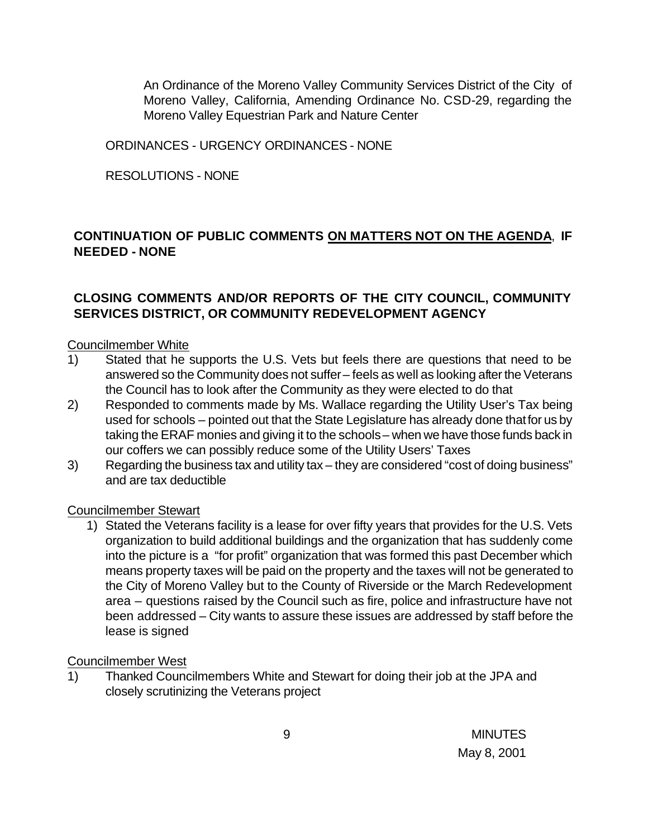An Ordinance of the Moreno Valley Community Services District of the City of Moreno Valley, California, Amending Ordinance No. CSD-29, regarding the Moreno Valley Equestrian Park and Nature Center

ORDINANCES - URGENCY ORDINANCES - NONE

RESOLUTIONS - NONE

# **CONTINUATION OF PUBLIC COMMENTS ON MATTERS NOT ON THE AGENDA**, **IF NEEDED - NONE**

### **CLOSING COMMENTS AND/OR REPORTS OF THE CITY COUNCIL, COMMUNITY SERVICES DISTRICT, OR COMMUNITY REDEVELOPMENT AGENCY**

#### Councilmember White

- 1) Stated that he supports the U.S. Vets but feels there are questions that need to be answered so the Community does not suffer – feels as well as looking after the Veterans the Council has to look after the Community as they were elected to do that
- 2) Responded to comments made by Ms. Wallace regarding the Utility User's Tax being used for schools – pointed out that the State Legislature has already done that for us by taking the ERAF monies and giving it to the schools – when we have those funds back in our coffers we can possibly reduce some of the Utility Users' Taxes
- 3) Regarding the business tax and utility tax they are considered "cost of doing business" and are tax deductible

#### Councilmember Stewart

1) Stated the Veterans facility is a lease for over fifty years that provides for the U.S. Vets organization to build additional buildings and the organization that has suddenly come into the picture is a "for profit" organization that was formed this past December which means property taxes will be paid on the property and the taxes will not be generated to the City of Moreno Valley but to the County of Riverside or the March Redevelopment area – questions raised by the Council such as fire, police and infrastructure have not been addressed – City wants to assure these issues are addressed by staff before the lease is signed

#### Councilmember West

1) Thanked Councilmembers White and Stewart for doing their job at the JPA and closely scrutinizing the Veterans project